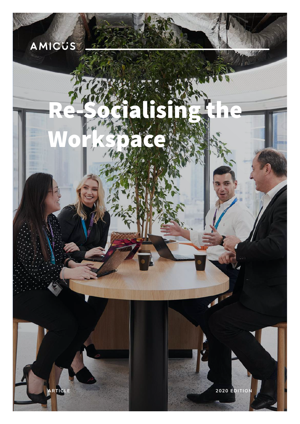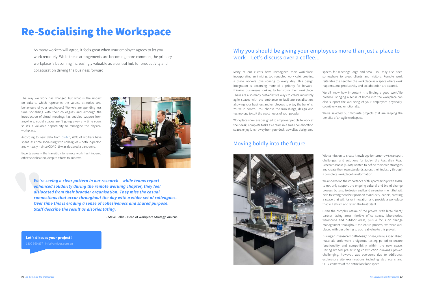# Re-Socialising the Workspace

The way we work has changed but what is the impact on culture, which represents the values, attitudes, and behaviours of your employees? Workers are spending less time socialising with their colleagues and although the introduction of virtual meetings has enabled support from anywhere, social spaces aren't going away any time soon, so it's a valuable opportunity to reimagine the physical workplace.

According to new data from [Clutch](https://clutch.co/hr/resources/team-culture-during-covid-19-statistics), 63% of workers have spent less time socialising with colleagues – both in-person and virtually – since COVID-19 was declared a pandemic.

Experts agree – the transition to remote work has hindered office socialisation, despite efforts to improve.



Many of our clients have reimagined their workplace, incorporating an inviting, tech-enabled work café, creating a place workers love coming to every day. This design integration is becoming more of a priority for forwardthinking businesses looking to transform their workplace. There are also many cost-effective ways to create incredibly agile spaces with the ambiance to facilitate socialisation, allowing your business and employees to enjoy the benefits. You're in control. You choose the furnishings, design and technology to suit the exact needs of your people.

Workplaces now are designed to empower people to work at their desk, complete tasks as a team in a small collaboration space, enjoy lunch away from your desk, as well as designated

> With a mission to create knowledge for tomorrow's transport challenges, and solutions for today, the Australian Road Research Board (ARRB) wanted to define their own strategies and create their own standards across their industry through a complete workplace transformation.

> We understood the importance of this partnership with ARRB, to not only support the ongoing cultural and brand change process, but also to design and build an environment that will help to strengthen their position as industry leaders, creating a space that will foster innovation and provide a workplace that will attract and retain the best talent.

> Given the complex nature of the project, with large client/ partner facing areas, flexible office space, laboratories, warehouse and outdoor areas, plus a focus on change management throughout the entire process, we were well placed with our offering to add real value to this project.

> During an intense 5-month design phase, various specialised materials underwent a vigorous testing period to ensure functionality and compatibility within the new space. Having limited pre-existing construction drawings proved challenging, however, was overcome due to additional exploratory site examinations including slab scans and CCTV cameras of the entire lab floor space.

As many workers will agree, it feels great when your employer agrees to let you work remotely. While these arrangements are becoming more common, the primary workplace is becoming increasingly valuable as a central hub for productivity and collaboration driving the business forward.

*We're seeing a clear pattern in our research – while teams report enhanced solidarity during the remote working chapter, they feel dislocated from their broader organisation. They miss the casual connections that occur throughout the day with a wider set of colleagues. Over time this is eroding a sense of cohesiveness and shared purpose. Staff describe the result as disorientating.* 

- Steve Collis – Head of Workplace Strategy, Amicus.

#### Why you should be giving your employees more than just a place to work – Let's discuss over a coffee...

#### Moving boldly into the future



- spaces for meetings large and small. You may also need somewhere to greet clients and visitors. Remote work reiterates the need for the workplace as a space where work happens, and productivity and collaboration are assured.
- We all know how important it is finding a good work/life balance. Bringing a sense of home into the workplace can also support the wellbeing of your employees physically, cognitively and emotionally.
- We've selected our favourite projects that are reaping the benefits of an agile workspace.

**[Let's discuss your project!](mailto:info%40amicus.com.au?subject=Re%3A%20Re-Socialise%20the%20Workspace)** 1300 360 877 | [info@amicus.com.au](mailto:info%40amicus.com.au?subject=)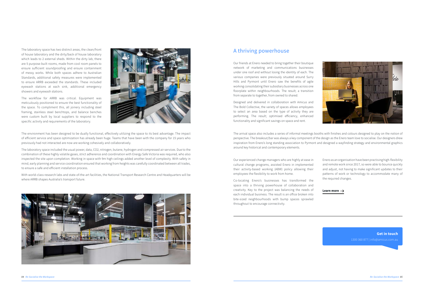The laboratory space has two distinct areas, the clean/front of house laboratory and the dirty/back of house laboratory which leads to 2 external sheds. Within the dirty lab, there are 5 purpose-built rooms, made from cool room panels to ensure sufficient soundproofing and ensure containment of messy works. While both spaces adhere to Australian Standards, additional safety measures were implemented to ensure ARRB exceeded the standards. These included eyewash stations at each sink, additional emergency showers and eyewash stations.

The workflow for ARRB was critical. Equipment was meticulously positioned to ensure the best functionality of the space. To compliment this, all joinery including steel framing, stainless steel benchtops, and balance benches were custom built by local suppliers to respond to the specific activity and requirements of the laboratory.



A thriving powerhouse

**[Learn more](https://www.amicus.com.au/projects/enero)**

The environment has been designed to be dually functional, effectively utilizing the space to its best advantage. The impact of efficient service and space optimization has already been huge. Teams that have been with the company for 15 years who previously had not interacted are now are working cohesively and collaboratively.

The laboratory space included the usual power, data, CO2, nitrogen, butane, hydrogen and compressed air services. Due to the combination of these highly volatile gases, strict adherence and coordination with Energy Safe Victoria was required, who also inspected the site upon completion. Working in space with 9m high ceilings added another level of complexity. With safety in mind, early planning and service coordination ensured that working from heights was carefully coordinated between all trades, to ensure a safe and efficient installation process.

With world-class research labs and state-of-the-art facilities, the National Transport Research Centre and Headquarters will be where ARRB shapes Australia's transport future.



Our friends at Enero needed to bring together their boutique network of marketing and communications businesses under one roof and without losing the identity of each. The various companies were previously situated around Surry Hills and Pyrmont until Enero saw the benefits of agile working consolidating their subsidiary businesses across one floorplate within neighbourhoods. The result; a transition from separate to together, from owned to shared.

Designed and delivered in collaboration with Amicus and The Bold Collective, the variety of spaces allows employees to select an area based on the type of activity they are performing. The result; optimised efficiency, enhanced functionality and significant savings on space and rent.

The arrival space also includes a series of informal meetings booths with finishes and colours designed to play on the notion of perspective. The breakout/bar was always a key component of the design as the Enero team love to socialise. Our designers drew inspiration from Enero's long standing association to Pyrmont and designed a wayfinding strategy and environmental graphics around key historical and contemporary elements.

Our experienced change managers who are highly at ease in cultural change programs, assisted Enero in implemented their activity-based working (ABW) policy allowing their employees the flexibility to work from home.

Co-locating Enero's businesses has transformed the space into a thriving powerhouse of collaboration and creativity. Key to the project was balancing the needs of each individual business. The result is an office broken into bite-sized neighbourhoods with bump spaces sprawled throughout to encourage connectivity.

Enero as an organisation have been practising high-flexibility and remote work since 2017, so were able to bounce quickly and adjust, not having to make significant updates to their patterns of work or technology to accommodate many of the required changes.

> **Get in touch** [1300 360 877 | info@amicus.com.au](mailto:info%40amicus.com.au?subject=Re%3A%20Re-Socialise%20the%20Workspace)

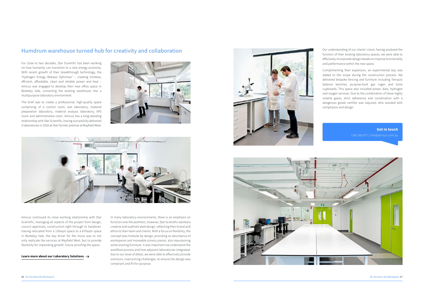#### Humdrum warehouse turned hub for creativity and collaboration

**[Learn more about our Laboratory Solutions](https://www.amicus.com.au/spaces/laboratory)**

For close to two decades, Star Scientific has been working on how humanity can transition to a new energy economy. With recent growth of their breakthrough technology, the 'Hydrogen Energy Release Optimiser' – creating limitless, efficient, affordable, clean and reliable power and heat – Amicus was engaged to develop their new office space in Berkeley Vale, converting the existing warehouse into a multipurpose laboratory environment.

The brief was to create a professional, high-quality space comprising of a control room, wet laboratory, material preparation laboratory, material analysis laboratory, XPS room and administrative room. Amicus has a long-standing relationship with Star Scientific, having successfully delivered 5 laboratories in 2016 at their former premise at Mayfield West.





Amicus continued its close working relationship with Star Scientific, managing all aspects of the project from design, council approvals, construction right through to handover. Having relocated from a 150sqm space to a 670sqm space in Berkeley Vale, the key driver for the move was to not only replicate the services at Mayfield West, but to provide flexibility for impending growth, future-proofing the space.

In many laboratory environments, there is an emphasis on function over the aesthetic, however, Star Scientific wanted a creative and sophisticated design, reflecting their brand and ethos to their team and clients. With a focus on flexibility, the concept was modular by design, providing an abundance of workspaces and moveable joinery pieces, also repurposing some existing furniture. It was important we understand the workflow process and how adjacent laboratories integrated. Due to our level of detail, we were able to effectively provide solutions, overcoming challenges, to ensure the design was compliant and fit-for-purpose.



Our understanding of our clients' vision, having analysed the function of their existing laboratory spaces, we were able to effectively incorporate design tweaks to improve functionality and performance within the new space.

Complimenting their expansion, an experimental bay was added to the scope during the construction process. We delivered bespoke fencing and furniture including Terrazzo balance benches, purpose-built gas cages and fume cupboards. This space also included power, data, hydrogen and oxygen services. Due to the combination of these highly volatile gases, strict adherence and coordination with a dangerous goods certifier was required, who assisted with compliance and design.

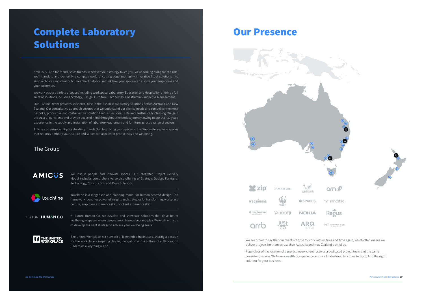We are proud to say that our clients choose to work with us time and time again, which often means we deliver projects for them across their Australia and New Zealand portfolios.

Regardless of the location of a project, every client receives a dedicated project team and the same consistent service. We have a wealth of experience across all industries. Talk to us today to find the right solution for your business.





ne randstad



NT NOVOTECH

### Our Presence





Amicus is Latin for friend, so as friends, wherever your strategy takes you, we're coming along for the ride. We'll translate and demystify a complex world of cutting edge and highly innovative fitout solutions into simple choices and clear outcomes. We'll help you rethink how your spaces can inspire your employees and your customers.

We work across a variety of spaces including Workspace, Laboratory, Education and Hospitality, offering a full suite of solutions including Strategy, Design, Furniture, Technology, Construction and Move Management.

Our 'Labline' team provides specialist, best in the business laboratory solutions across Australia and New Zealand. Our consultative approach ensures that we understand our clients' needs and can deliver the most bespoke, productive and cost-effective solution that is functional, safe and aesthetically pleasing. We gain the trust of our clients and provide peace of mind throughout the project journey, owing to our over 30 years experience in the supply and installation of laboratory equipment and furniture across a range of sectors.

Amicus comprises multiple subsidiary brands that help bring your spaces to life. We create inspiring spaces that not only embody your culture and values but also foster productivity and wellbeing.

#### The Group

AMICUS

We inspire people and innovate spaces. Our Integrated Project Delivery Model includes comprehensive service offering of Strategy, Design, Furniture, Technology, Construction and Move Solutions.

touchline

Touchline is a diagnostic and planning model for human-centred design. The framework identifies powerful insights and strategies for transforming workplace culture, employee experience (EX), or client experience (CX).

FUTURE**HUMÅN CO** 

At Future Human Co. we develop and showcase solutions that drive better wellbeing in spaces where people work, learn, sleep and play. We work with you to develop the right strategy to achieve your wellbeing goals.



The United Workplace is a network of likeminded businesses, sharing a passion for the workplace – inspiring design, innovation and a culture of collaboration underpins everything we do.

## Complete Laboratory Solutions